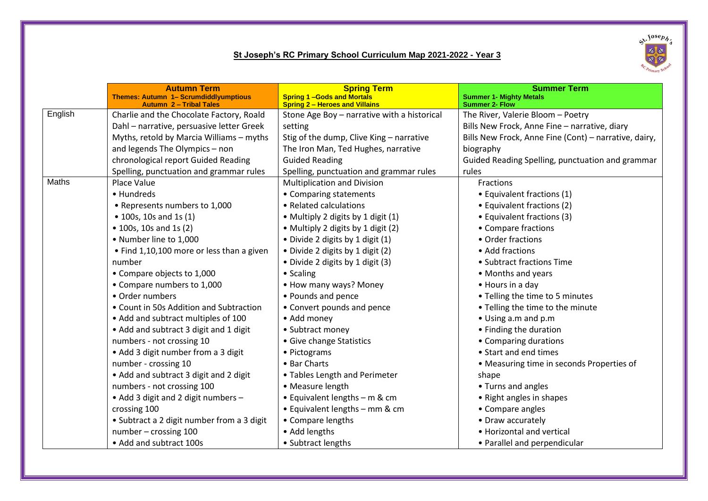## **St Joseph's RC Primary School Curriculum Map 2021-2022 - Year 3**



|         | <b>Autumn Term</b>                                                             | <b>Spring Term</b>                                                        | <b>Summer Term</b>                                      |
|---------|--------------------------------------------------------------------------------|---------------------------------------------------------------------------|---------------------------------------------------------|
|         | <b>Themes: Autumn 1- Scrumdiddlyumptious</b><br><b>Autumn 2 - Tribal Tales</b> | <b>Spring 1-Gods and Mortals</b><br><b>Spring 2 - Heroes and Villains</b> | <b>Summer 1- Mighty Metals</b><br><b>Summer 2- Flow</b> |
| English | Charlie and the Chocolate Factory, Roald                                       | Stone Age Boy - narrative with a historical                               | The River, Valerie Bloom - Poetry                       |
|         | Dahl - narrative, persuasive letter Greek                                      | setting                                                                   | Bills New Frock, Anne Fine - narrative, diary           |
|         | Myths, retold by Marcia Williams - myths                                       | Stig of the dump, Clive King - narrative                                  | Bills New Frock, Anne Fine (Cont) - narrative, dairy,   |
|         | and legends The Olympics - non                                                 | The Iron Man, Ted Hughes, narrative                                       | biography                                               |
|         | chronological report Guided Reading                                            | <b>Guided Reading</b>                                                     | Guided Reading Spelling, punctuation and grammar        |
|         | Spelling, punctuation and grammar rules                                        | Spelling, punctuation and grammar rules                                   | rules                                                   |
| Maths   | Place Value                                                                    | <b>Multiplication and Division</b>                                        | <b>Fractions</b>                                        |
|         | • Hundreds                                                                     | • Comparing statements                                                    | • Equivalent fractions (1)                              |
|         | • Represents numbers to 1,000                                                  | • Related calculations                                                    | • Equivalent fractions (2)                              |
|         | • 100s, 10s and 1s (1)                                                         | • Multiply 2 digits by 1 digit (1)                                        | • Equivalent fractions (3)                              |
|         | • 100s, 10s and 1s (2)                                                         | • Multiply 2 digits by 1 digit (2)                                        | • Compare fractions                                     |
|         | • Number line to 1,000                                                         | • Divide 2 digits by 1 digit (1)                                          | • Order fractions                                       |
|         | • Find 1,10,100 more or less than a given                                      | · Divide 2 digits by 1 digit (2)                                          | • Add fractions                                         |
|         | number                                                                         | • Divide 2 digits by 1 digit (3)                                          | • Subtract fractions Time                               |
|         | • Compare objects to 1,000                                                     | • Scaling                                                                 | • Months and years                                      |
|         | • Compare numbers to 1,000                                                     | • How many ways? Money                                                    | • Hours in a day                                        |
|         | • Order numbers                                                                | • Pounds and pence                                                        | • Telling the time to 5 minutes                         |
|         | • Count in 50s Addition and Subtraction                                        | • Convert pounds and pence                                                | • Telling the time to the minute                        |
|         | • Add and subtract multiples of 100                                            | • Add money                                                               | • Using a.m and p.m                                     |
|         | • Add and subtract 3 digit and 1 digit                                         | • Subtract money                                                          | • Finding the duration                                  |
|         | numbers - not crossing 10                                                      | • Give change Statistics                                                  | • Comparing durations                                   |
|         | • Add 3 digit number from a 3 digit                                            | • Pictograms                                                              | • Start and end times                                   |
|         | number - crossing 10                                                           | • Bar Charts                                                              | • Measuring time in seconds Properties of               |
|         | • Add and subtract 3 digit and 2 digit                                         | • Tables Length and Perimeter                                             | shape                                                   |
|         | numbers - not crossing 100                                                     | • Measure length                                                          | • Turns and angles                                      |
|         | • Add 3 digit and 2 digit numbers -                                            | • Equivalent lengths - m & cm                                             | • Right angles in shapes                                |
|         | crossing 100                                                                   | • Equivalent lengths – mm & cm                                            | • Compare angles                                        |
|         | • Subtract a 2 digit number from a 3 digit                                     | • Compare lengths                                                         | • Draw accurately                                       |
|         | number - crossing 100                                                          | • Add lengths                                                             | • Horizontal and vertical                               |
|         | • Add and subtract 100s                                                        | • Subtract lengths                                                        | • Parallel and perpendicular                            |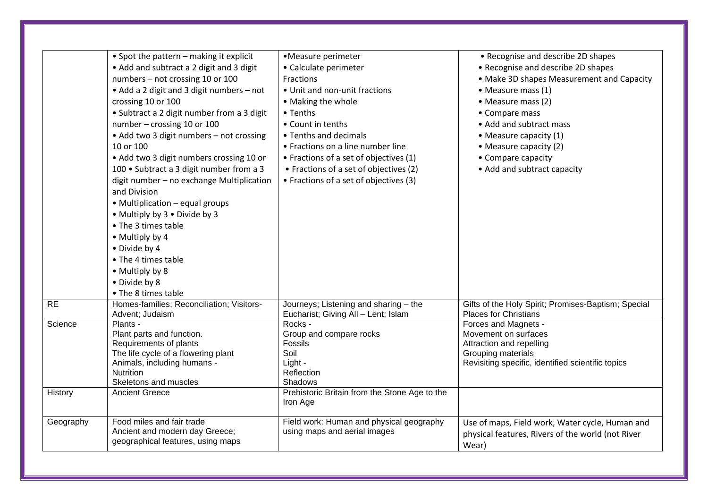|           | • Spot the pattern - making it explicit<br>• Add and subtract a 2 digit and 3 digit<br>numbers - not crossing 10 or 100<br>• Add a 2 digit and 3 digit numbers - not<br>crossing 10 or 100<br>• Subtract a 2 digit number from a 3 digit<br>number - crossing 10 or 100<br>• Add two 3 digit numbers - not crossing<br>10 or 100<br>• Add two 3 digit numbers crossing 10 or<br>100 • Subtract a 3 digit number from a 3<br>digit number - no exchange Multiplication<br>and Division<br>• Multiplication - equal groups<br>• Multiply by 3 • Divide by 3<br>• The 3 times table<br>• Multiply by 4<br>• Divide by 4<br>• The 4 times table<br>• Multiply by 8<br>• Divide by 8<br>• The 8 times table | •Measure perimeter<br>• Calculate perimeter<br>Fractions<br>• Unit and non-unit fractions<br>• Making the whole<br>• Tenths<br>• Count in tenths<br>• Tenths and decimals<br>• Fractions on a line number line<br>• Fractions of a set of objectives (1)<br>• Fractions of a set of objectives (2)<br>• Fractions of a set of objectives (3) | • Recognise and describe 2D shapes<br>• Recognise and describe 2D shapes<br>• Make 3D shapes Measurement and Capacity<br>• Measure mass (1)<br>• Measure mass (2)<br>• Compare mass<br>• Add and subtract mass<br>• Measure capacity (1)<br>• Measure capacity (2)<br>• Compare capacity<br>• Add and subtract capacity |
|-----------|--------------------------------------------------------------------------------------------------------------------------------------------------------------------------------------------------------------------------------------------------------------------------------------------------------------------------------------------------------------------------------------------------------------------------------------------------------------------------------------------------------------------------------------------------------------------------------------------------------------------------------------------------------------------------------------------------------|----------------------------------------------------------------------------------------------------------------------------------------------------------------------------------------------------------------------------------------------------------------------------------------------------------------------------------------------|-------------------------------------------------------------------------------------------------------------------------------------------------------------------------------------------------------------------------------------------------------------------------------------------------------------------------|
| <b>RE</b> | Homes-families; Reconciliation; Visitors-<br>Advent; Judaism                                                                                                                                                                                                                                                                                                                                                                                                                                                                                                                                                                                                                                           | Journeys; Listening and sharing - the<br>Eucharist; Giving All - Lent; Islam                                                                                                                                                                                                                                                                 | Gifts of the Holy Spirit; Promises-Baptism; Special<br>Places for Christians                                                                                                                                                                                                                                            |
| Science   | Plants -<br>Plant parts and function.<br>Requirements of plants<br>The life cycle of a flowering plant<br>Animals, including humans -<br><b>Nutrition</b><br>Skeletons and muscles                                                                                                                                                                                                                                                                                                                                                                                                                                                                                                                     | Rocks -<br>Group and compare rocks<br>Fossils<br>Soil<br>Light -<br>Reflection<br>Shadows                                                                                                                                                                                                                                                    | Forces and Magnets -<br>Movement on surfaces<br>Attraction and repelling<br>Grouping materials<br>Revisiting specific, identified scientific topics                                                                                                                                                                     |
| History   | <b>Ancient Greece</b>                                                                                                                                                                                                                                                                                                                                                                                                                                                                                                                                                                                                                                                                                  | Prehistoric Britain from the Stone Age to the<br>Iron Age                                                                                                                                                                                                                                                                                    |                                                                                                                                                                                                                                                                                                                         |
| Geography | Food miles and fair trade<br>Ancient and modern day Greece;<br>geographical features, using maps                                                                                                                                                                                                                                                                                                                                                                                                                                                                                                                                                                                                       | Field work: Human and physical geography<br>using maps and aerial images                                                                                                                                                                                                                                                                     | Use of maps, Field work, Water cycle, Human and<br>physical features, Rivers of the world (not River<br>Wear)                                                                                                                                                                                                           |